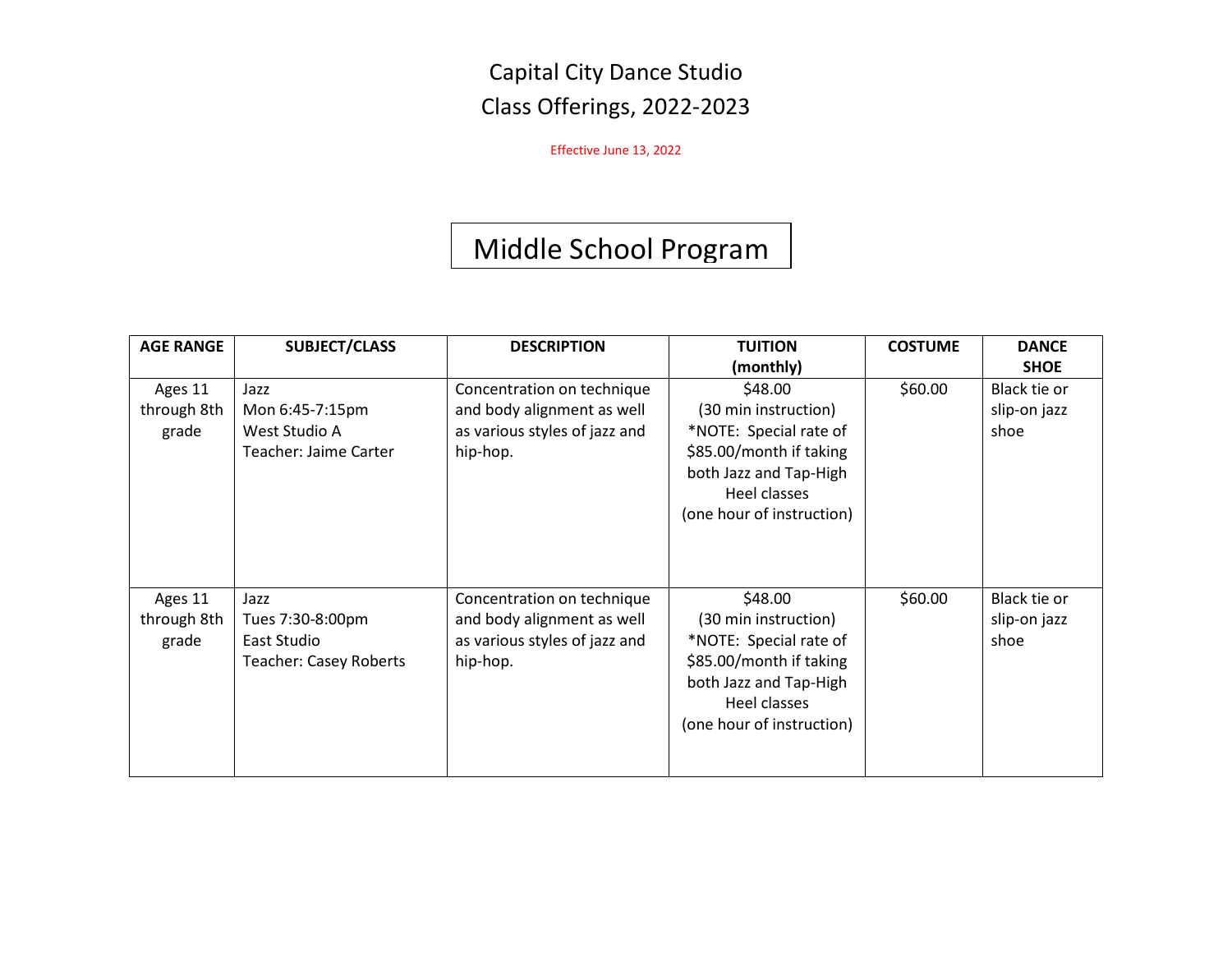Capital City Dance Studio Class Offerings, 2022-2023

Effective June 13, 2022

# Middle School Program

| <b>AGE RANGE</b> | <b>SUBJECT/CLASS</b>          | <b>DESCRIPTION</b>            | <b>TUITION</b>            | <b>COSTUME</b> | <b>DANCE</b> |
|------------------|-------------------------------|-------------------------------|---------------------------|----------------|--------------|
|                  |                               |                               | (monthly)                 |                | <b>SHOE</b>  |
| Ages 11          | Jazz                          | Concentration on technique    | \$48.00                   | \$60.00        | Black tie or |
| through 8th      | Mon 6:45-7:15pm               | and body alignment as well    | (30 min instruction)      |                | slip-on jazz |
| grade            | West Studio A                 | as various styles of jazz and | *NOTE: Special rate of    |                | shoe         |
|                  | Teacher: Jaime Carter         | hip-hop.                      | \$85.00/month if taking   |                |              |
|                  |                               |                               | both Jazz and Tap-High    |                |              |
|                  |                               |                               | Heel classes              |                |              |
|                  |                               |                               | (one hour of instruction) |                |              |
|                  |                               |                               |                           |                |              |
|                  |                               |                               |                           |                |              |
|                  |                               |                               |                           |                |              |
| Ages 11          | Jazz                          | Concentration on technique    | \$48.00                   | \$60.00        | Black tie or |
| through 8th      | Tues 7:30-8:00pm              | and body alignment as well    | (30 min instruction)      |                | slip-on jazz |
| grade            | East Studio                   | as various styles of jazz and | *NOTE: Special rate of    |                | shoe         |
|                  | <b>Teacher: Casey Roberts</b> | hip-hop.                      | \$85.00/month if taking   |                |              |
|                  |                               |                               | both Jazz and Tap-High    |                |              |
|                  |                               |                               | Heel classes              |                |              |
|                  |                               |                               | (one hour of instruction) |                |              |
|                  |                               |                               |                           |                |              |
|                  |                               |                               |                           |                |              |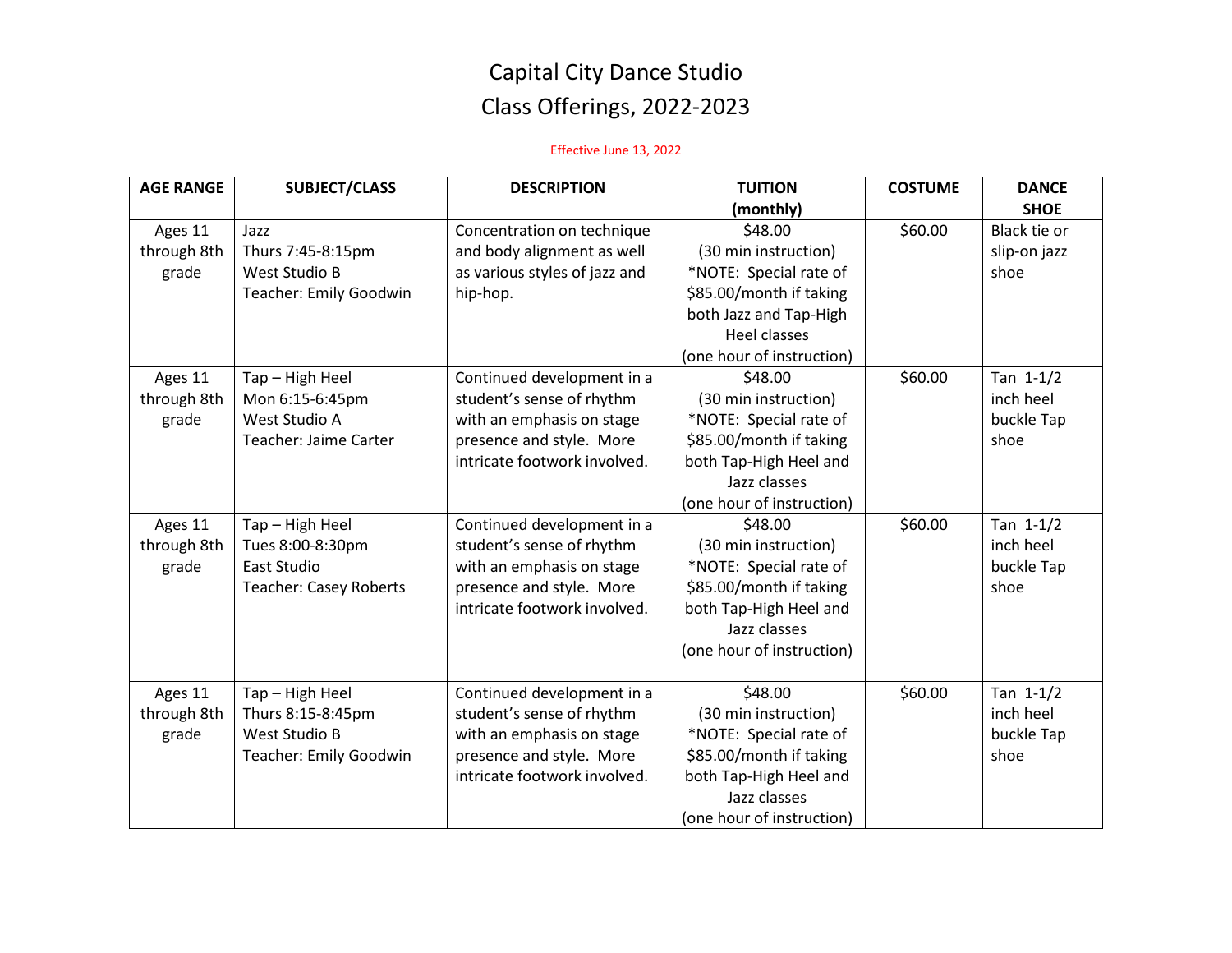## Capital City Dance Studio Class Offerings, 2022-2023

### Effective June 13, 2022

| <b>AGE RANGE</b> | <b>SUBJECT/CLASS</b>          | <b>DESCRIPTION</b>            | <b>TUITION</b>            | <b>COSTUME</b> | <b>DANCE</b> |
|------------------|-------------------------------|-------------------------------|---------------------------|----------------|--------------|
|                  |                               |                               | (monthly)                 |                | <b>SHOE</b>  |
| Ages 11          | Jazz                          | Concentration on technique    | \$48.00                   | \$60.00        | Black tie or |
| through 8th      | Thurs 7:45-8:15pm             | and body alignment as well    | (30 min instruction)      |                | slip-on jazz |
| grade            | West Studio B                 | as various styles of jazz and | *NOTE: Special rate of    |                | shoe         |
|                  | Teacher: Emily Goodwin        | hip-hop.                      | \$85.00/month if taking   |                |              |
|                  |                               |                               | both Jazz and Tap-High    |                |              |
|                  |                               |                               | <b>Heel classes</b>       |                |              |
|                  |                               |                               | (one hour of instruction) |                |              |
| Ages 11          | Tap - High Heel               | Continued development in a    | \$48.00                   | \$60.00        | Tan $1-1/2$  |
| through 8th      | Mon 6:15-6:45pm               | student's sense of rhythm     | (30 min instruction)      |                | inch heel    |
| grade            | West Studio A                 | with an emphasis on stage     | *NOTE: Special rate of    |                | buckle Tap   |
|                  | Teacher: Jaime Carter         | presence and style. More      | \$85.00/month if taking   |                | shoe         |
|                  |                               | intricate footwork involved.  | both Tap-High Heel and    |                |              |
|                  |                               |                               | Jazz classes              |                |              |
|                  |                               |                               | (one hour of instruction) |                |              |
| Ages 11          | Tap - High Heel               | Continued development in a    | \$48.00                   | \$60.00        | Tan $1-1/2$  |
| through 8th      | Tues 8:00-8:30pm              | student's sense of rhythm     | (30 min instruction)      |                | inch heel    |
| grade            | <b>East Studio</b>            | with an emphasis on stage     | *NOTE: Special rate of    |                | buckle Tap   |
|                  | <b>Teacher: Casey Roberts</b> | presence and style. More      | \$85.00/month if taking   |                | shoe         |
|                  |                               | intricate footwork involved.  | both Tap-High Heel and    |                |              |
|                  |                               |                               | Jazz classes              |                |              |
|                  |                               |                               | (one hour of instruction) |                |              |
|                  |                               |                               |                           |                |              |
| Ages 11          | Tap - High Heel               | Continued development in a    | \$48.00                   | \$60.00        | Tan $1-1/2$  |
| through 8th      | Thurs 8:15-8:45pm             | student's sense of rhythm     | (30 min instruction)      |                | inch heel    |
| grade            | West Studio B                 | with an emphasis on stage     | *NOTE: Special rate of    |                | buckle Tap   |
|                  | <b>Teacher: Emily Goodwin</b> | presence and style. More      | \$85.00/month if taking   |                | shoe         |
|                  |                               | intricate footwork involved.  | both Tap-High Heel and    |                |              |
|                  |                               |                               | Jazz classes              |                |              |
|                  |                               |                               | (one hour of instruction) |                |              |